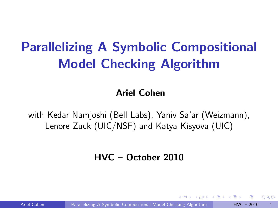# Parallelizing A Symbolic Compositional Model Checking Algorithm

Ariel Cohen

with Kedar Namjoshi (Bell Labs), Yaniv Sa'ar (Weizmann), Lenore Zuck (UIC/NSF) and Katya Kisyova (UIC)

#### HVC – October 2010

Ariel Cohen **[Parallelizing A Symbolic Compositional Model Checking Algorithm](#page-21-0) HVC – 2010** 1

<span id="page-0-0"></span>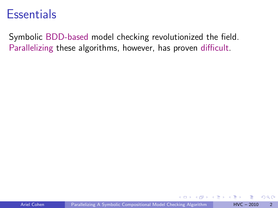#### **Essentials**

Symbolic BDD-based model checking revolutionized the field. Parallelizing these algorithms, however, has proven difficult.

 $\leftarrow$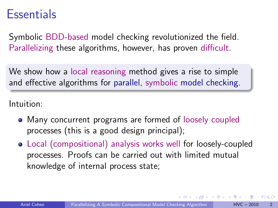#### **Essentials**

Symbolic BDD-based model checking revolutionized the field. Parallelizing these algorithms, however, has proven difficult.

We show how a local reasoning method gives a rise to simple and effective algorithms for parallel, symbolic model checking.

Intuition:

- Many concurrent programs are formed of loosely coupled processes (this is a good design principal);
- Local (compositional) analysis works well for loosely-coupled processes. Proofs can be carried out with limited mutual knowledge of internal process state;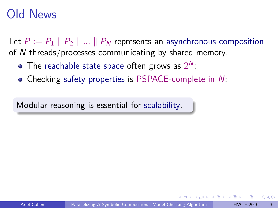### Old News

Let  $P := P_1 \parallel P_2 \parallel ... \parallel P_N$  represents an asynchronous composition of N threads/processes communicating by shared memory.

- The reachable state space often grows as  $2^N$ ;
- Checking safety properties is PSPACE-complete in N;

Modular reasoning is essential for scalability.

つひひ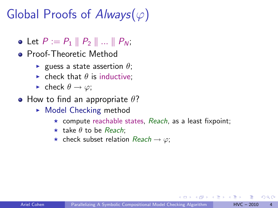# Global Proofs of  $Always(\varphi)$

- Let  $P := P_1 \, \| P_2 \, \| \, ... \, \| P_N$ ;
- **•** Proof-Theoretic Method
	- **Exercise** guess a state assertion  $\theta$ ;
	- $\blacktriangleright$  check that  $\theta$  is inductive:
	- check  $\theta \rightarrow \varphi$ ;
- How to find an appropriate  $\theta$ ?
	- $\triangleright$  Model Checking method
		- $\star$  compute reachable states, Reach, as a least fixpoint;
		- $\star$  take  $\theta$  to be Reach:
		- $\star$  check subset relation Reach  $\to \varphi$ ;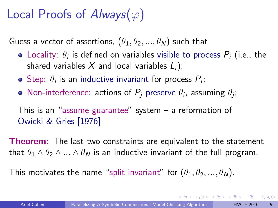## Local Proofs of  $Always(\varphi)$

Guess a vector of assertions,  $(\theta_1, \theta_2, ..., \theta_N)$  such that

- Locality:  $\theta_i$  is defined on variables visible to process  $P_i$  (i.e., the shared variables X and local variables  $L_i$ );
- Step:  $\theta_i$  is an inductive invariant for process  $P_i$ ;
- Non-interference: actions of  $P_j$  preserve  $\theta_i$ , assuming  $\theta_j$ ;

This is an "assume-guarantee" system – a reformation of Owicki & Gries [1976]

Theorem: The last two constraints are equivalent to the statement that  $\theta_1 \wedge \theta_2 \wedge ... \wedge \theta_N$  is an inductive invariant of the full program.

This motivates the name "split invariant" for  $(\theta_1, \theta_2, ..., \theta_N)$ .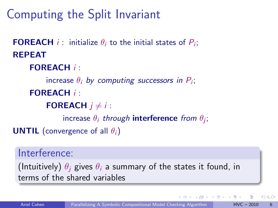## Computing the Split Invariant

**FOREACH** *i*: initialize  $\theta_i$  to the initial states of  $P_i$ ; REPEAT FOREACH *i* : increase  $\theta_i$  by computing successors in  $P_i$ ; FOREACH *i* : **FOREACH**  $i \neq i$ : increase  $\theta_i$  through interference from  $\theta_j$ ; **UNTIL** (convergence of all  $\theta_i$ )

#### Interference:

(Intuitively)  $\theta_i$  gives  $\theta_i$  a summary of the states it found, in terms of the shared variables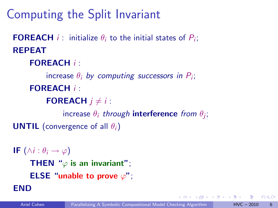## Computing the Split Invariant

```
FOREACH i: initialize \theta_i to the initial states of P_i;
REPEAT
```
FOREACH *i* :

increase  $\theta_i$  by computing successors in  $P_i$ ; FOREACH *i* :

**FOREACH**  $i \neq i$ :

increase  $\theta_i$  through interference from  $\theta_j$ ;

**UNTIL** (convergence of all  $\theta_i$ )

```
IF (\wedge i : \theta_i \rightarrow \varphi)THEN "\varphi is an invariant";
      ELSE "unable to prove \varphi";
END
```
 $200$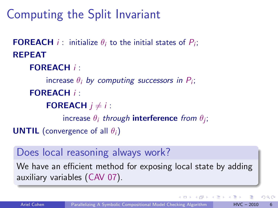## Computing the Split Invariant

**FOREACH** *i*: initialize  $\theta_i$  to the initial states of  $P_i$ ; REPEAT FOREACH *i* : increase  $\theta_i$  by computing successors in  $P_i$ ; FOREACH *i* : **FOREACH**  $i \neq i$ : increase  $\theta_i$  through interference from  $\theta_j$ ; **UNTIL** (convergence of all  $\theta_i$ )

#### Does local reasoning always work?

We have an efficient method for exposing local state by adding auxiliary variables (CAV 07).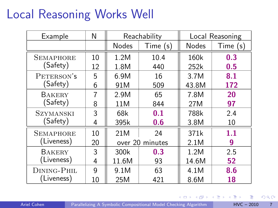### Local Reasoning Works Well

| Example              | N  | Reachability    |          | Local Reasoning |          |  |
|----------------------|----|-----------------|----------|-----------------|----------|--|
|                      |    | <b>Nodes</b>    | Time (s) | <b>Nodes</b>    | Time (s) |  |
| <b>SEMAPHORE</b>     | 10 | 1.2M            | 10.4     | 160k            | 0.3      |  |
| (Safety)             | 12 | 1.8M            | 440      | 252k            | 0.5      |  |
| PETERSON'S           | 5  | 6.9M            | 16       | 3.7M            | 8.1      |  |
| (Safety)             | 6  | 91M             | 509      | 43.8M           | 172      |  |
| BAKERY               | 7  | 2.9M            | 65       | 7.8M            | 20       |  |
| (Safety)             | 8  | 11M             | 844      | 27M             | 97       |  |
| SZYMANSKI            | 3  | 68k             | 0.1      | 788k            | 2.4      |  |
| Safety)              | 4  | 395k            | 0.6      | 3.8M            | 10       |  |
| <b>SEMAPHORE</b>     | 10 | 21M             | 24       | 371k            | 1.1      |  |
| (Liveness)           | 20 | over 20 minutes |          | 2.1M            | 9        |  |
| BAKERY<br>(Liveness) | 3  | 300k            | 0.3      | 1.2M            | 2.5      |  |
|                      | 4  | 11.6M           | 93       | 14.6M           | 52       |  |
| DINING-PHIL          | g  | 9.1M            | 63       | 4.1M            | 8.6      |  |
| (Liveness)           | 10 | 25M             | 421      | 8.6M            | 18       |  |

4.0.3

 $\sim$ 4 国  $\sim$  $\rightarrow$ ÷  $298$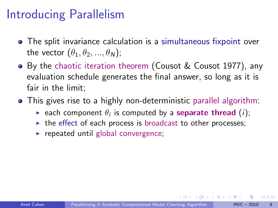### Introducing Parallelism

- The split invariance calculation is a simultaneous fixpoint over the vector  $(\theta_1, \theta_2, ..., \theta_N)$ ;
- By the chaotic iteration theorem (Cousot & Cousot 1977), any evaluation schedule generates the final answer, so long as it is fair in the limit;
- This gives rise to a highly non-deterministic parallel algorithm:
	- $\blacktriangleright$  each component  $\theta_i$  is computed by a separate thread  $(i)$ ;
	- $\triangleright$  the effect of each process is broadcast to other processes;
	- $\triangleright$  repeated until global convergence;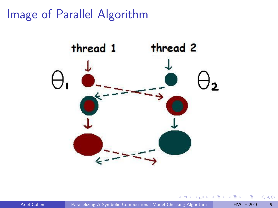Image of Parallel Algorithm



Ariel Cohen [Parallelizing A Symbolic Compositional Model Checking Algorithm](#page-0-0) HVC – 2010 9

 $\leftarrow$ 

 $QQ$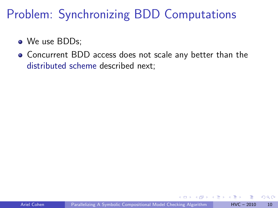### Problem: Synchronizing BDD Computations

- We use BDDs:
- Concurrent BDD access does not scale any better than the distributed scheme described next;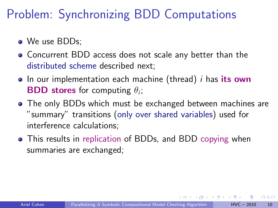### Problem: Synchronizing BDD Computations

- **O** We use BDDs:
- Concurrent BDD access does not scale any better than the distributed scheme described next;
- $\bullet$  In our implementation each machine (thread) *i* has its own **BDD stores** for computing  $\theta_i$ ;
- The only BDDs which must be exchanged between machines are "summary" transitions (only over shared variables) used for interference calculations;
- This results in replication of BDDs, and BDD copying when summaries are exchanged;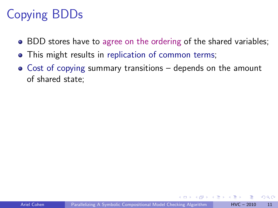## Copying BDDs

- BDD stores have to agree on the ordering of the shared variables;
- This might results in replication of common terms;
- Cost of copying summary transitions depends on the amount of shared state;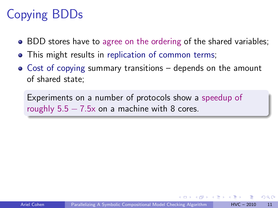## Copying BDDs

- BDD stores have to agree on the ordering of the shared variables;
- This might results in replication of common terms;
- Cost of copying summary transitions depends on the amount of shared state;

Experiments on a number of protocols show a speedup of roughly  $5.5 - 7.5x$  on a machine with 8 cores.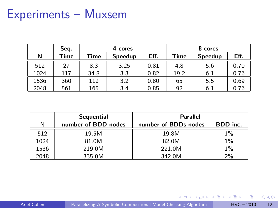### Experiments – Muxsem

|      | Seq. | 4 cores |                |      | 8 cores |         |      |
|------|------|---------|----------------|------|---------|---------|------|
| N    | Time | Time    | <b>Speedup</b> | Eff. | Time    | Speedup | Eff. |
| 512  |      | 8.3     | 3.25           | 0.81 | 4.8     | 5.6     | 0.70 |
| 1024 | 117  | 34.8    | 3.3            | 0.82 | 19.2    | 6.1     | 0.76 |
| 1536 | 360  | 112     | 3.2            | 0.80 | 65      | 5.5     | 0.69 |
| 2048 | 561  | 165     | 3.4            | 0.85 | 92      | 6.1     | 0.76 |

|      | <b>Sequential</b>   | <b>Parallel</b>      |          |  |  |
|------|---------------------|----------------------|----------|--|--|
| N    | number of BDD nodes | number of BDDs nodes | BDD inc. |  |  |
| 512  | 19.5M               | 19.8M                | $1\%$    |  |  |
| 1024 | 81.0M               | 82.0M                | 1%       |  |  |
| 1536 | 219.0M              | 221.0M               | $1\%$    |  |  |
| 2048 | 335.0M              | 342.0M               | 2%       |  |  |

4 日下

 $\left\{ \left\vert \left\langle \left\vert \Phi\right\vert \right\rangle \right\} \right\} \left\{ \left\vert \left\vert \Phi\right\vert \right\} \right\}$ 

 $\leftarrow \Xi \rightarrow$ 

画

 $298$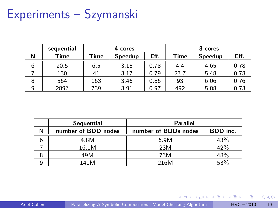## Experiments – Szymanski

|   | sequential | 4 cores |         |      | 8 cores |         |      |
|---|------------|---------|---------|------|---------|---------|------|
| N | Time       | Time    | Speedup | Eff. | Time    | Speedup | Eff. |
| 6 | 20.5       | 6.5     | 3.15    | 0.78 | 4.4     | 4.65    | 0.78 |
|   | 130        | 41      | 3.17    | 0.79 | 23.7    | 5.48    | 0.78 |
| 8 | 564        | 163     | 3.46    | 0.86 | 93      | 6.06    | 0.76 |
| 9 | 2896       | 739     | 3.91    | 0.97 | 492     | 5.88    |      |

|   | <b>Sequential</b>   | <b>Parallel</b>      |          |  |  |
|---|---------------------|----------------------|----------|--|--|
| N | number of BDD nodes | number of BDDs nodes | BDD inc. |  |  |
| b | 4.8M                | 6.9M                 | 43%      |  |  |
|   | 16.1M               | 23M                  | 42%      |  |  |
| 8 | 49M                 | 73M                  | 48%      |  |  |
|   | 141M                | 216M                 | 53%      |  |  |

Ariel Cohen [Parallelizing A Symbolic Compositional Model Checking Algorithm](#page-0-0) HVC – 2010 13

4 日下

4 同 下

 $\rightarrow$   $\equiv$   $\rightarrow$ 

÷.

 $298$ 

э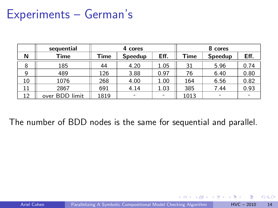#### Experiments – German's

|    | sequential     | 4 cores |         |      | 8 cores |         |      |
|----|----------------|---------|---------|------|---------|---------|------|
| Ν  | Time           | Time    | Speedup | Eff. | Time    | Speedup | Eff. |
| 8  | 185            | 44      | 4.20    | 1.05 | 31      | 5.96    | 0.74 |
| 9  | 489            | 126     | 3.88    | 0.97 | 76      | 6.40    | 0.80 |
| 10 | 1076           | 268     | 4.00    | 1.00 | 164     | 6.56    | 0.82 |
| 11 | 2867           | 691     | 4.14    | 1.03 | 385     | 7.44    | 0.93 |
| 12 | over BDD limit | 1819    |         |      | 1013    |         |      |

The number of BDD nodes is the same for sequential and parallel.

 $\sim$  m.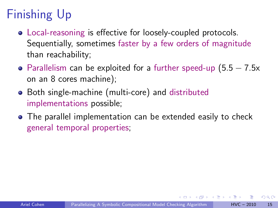# Finishing Up

- Local-reasoning is effective for loosely-coupled protocols. Sequentially, sometimes faster by a few orders of magnitude than reachability;
- Parallelism can be exploited for a further speed-up  $(5.5 7.5x)$ on an 8 cores machine);
- Both single-machine (multi-core) and distributed implementations possible;
- The parallel implementation can be extended easily to check general temporal properties;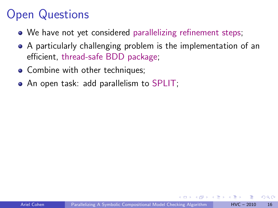## Open Questions

- We have not yet considered parallelizing refinement steps;
- A particularly challenging problem is the implementation of an efficient, thread-safe BDD package;
- Combine with other techniques;
- An open task: add parallelism to SPLIT;